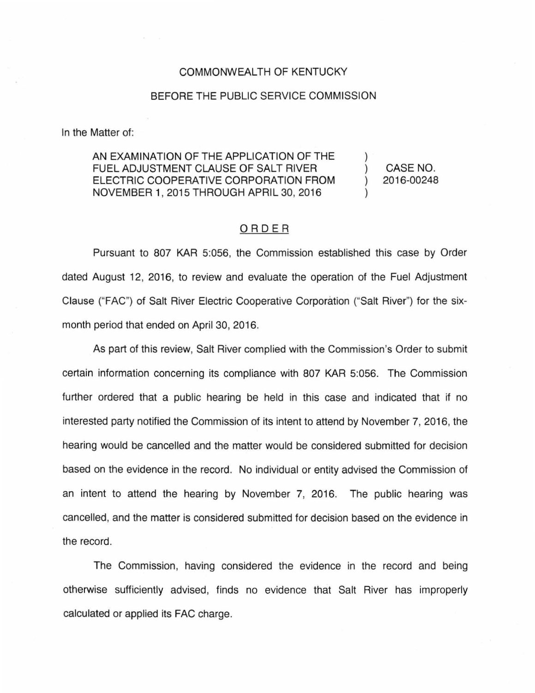## COMMONWEALTH OF KENTUCKY

## BEFORE THE PUBLIC SERVICE COMMISSION

In the Matter of:

AN EXAMINATION OF THE APPLICATION OF THE FUEL ADJUSTMENT CLAUSE OF SALT RIVER ELECTRIC COOPERATIVE CORPORATION FROM NOVEMBER 1, 2015 THROUGH APRIL 30, 2016

) CASE NO. ) 2016-00248

)

)

## ORDER

Pursuant to 807 KAR 5:056, the Commission established this case by Order dated August 12, 2016, to review and evaluate the operation of the Fuel Adjustment Clause ("FAC") of Salt River Electric Cooperative Corporation ("Salt River") for the sixmonth period that ended on April 30, 2016.

As part of this review, Salt River complied with the Commission's Order to submit certain information concerning its compliance with 807 KAR 5:056. The Commission further ordered that a public hearing be held in this case and indicated that if no interested party notified the Commission of its intent to attend by November 7, 2016, the hearing would be cancelled and the matter would be considered submitted for decision based on the evidence in the record. No individual or entity advised the Commission of an intent to attend the hearing by November 7, 2016. The public hearing was cancelled, and the matter is considered submitted for decision based on the evidence in the record.

The Commission, having considered the evidence in the record and being otherwise sufficiently advised, finds no evidence that Salt River has improperly calculated or applied its FAC charge.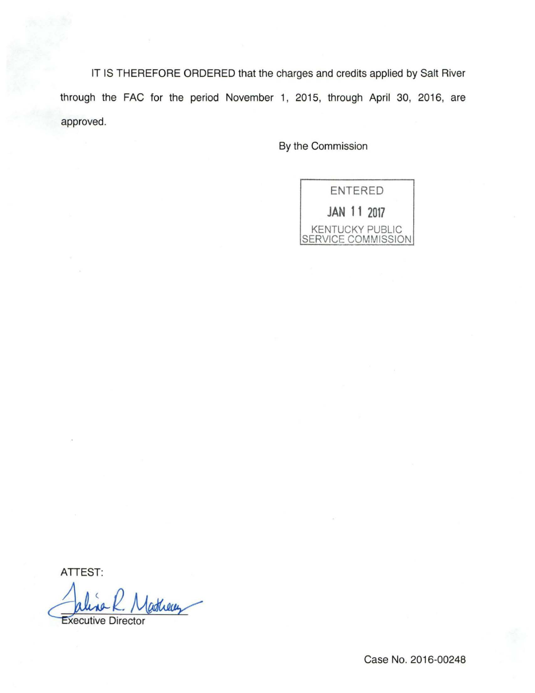IT IS THEREFORE ORDERED that the charges and credits applied by Salt River through the FAC for the period November 1, 2015, through April 30, 2016, are approved.

By the Commission

ENTERED **JAN 11 2017**  KENTUCKY PUBLIC SERVICE COMMISSION

ATTEST:

ATTEST:<br>Julia R. Martieux

Case No. 2016-00248